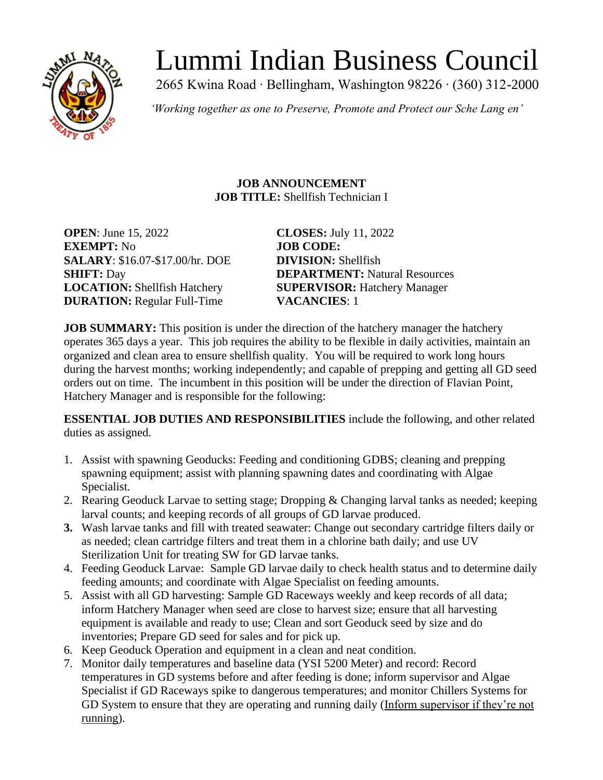

# Lummi Indian Business Council

2665 Kwina Road ∙ Bellingham, Washington 98226 ∙ (360) 312-2000

*'Working together as one to Preserve, Promote and Protect our Sche Lang en'*

**JOB ANNOUNCEMENT JOB TITLE:** Shellfish Technician I

**OPEN**: June 15, 2022 **CLOSES:** July 11, 2022 **EXEMPT:** No **JOB CODE: SALARY**: \$16.07-\$17.00/hr. DOE **DIVISION:** Shellfish **DURATION:** Regular Full-Time **VACANCIES**: 1

**SHIFT:** Day **DEPARTMENT:** Natural Resources **LOCATION:** Shellfish Hatchery **SUPERVISOR:** Hatchery Manager

**JOB SUMMARY:** This position is under the direction of the hatchery manager the hatchery operates 365 days a year. This job requires the ability to be flexible in daily activities, maintain an organized and clean area to ensure shellfish quality. You will be required to work long hours during the harvest months; working independently; and capable of prepping and getting all GD seed orders out on time. The incumbent in this position will be under the direction of Flavian Point, Hatchery Manager and is responsible for the following:

**ESSENTIAL JOB DUTIES AND RESPONSIBILITIES** include the following, and other related duties as assigned.

- 1. Assist with spawning Geoducks: Feeding and conditioning GDBS; cleaning and prepping spawning equipment; assist with planning spawning dates and coordinating with Algae Specialist.
- 2. Rearing Geoduck Larvae to setting stage; Dropping & Changing larval tanks as needed; keeping larval counts; and keeping records of all groups of GD larvae produced.
- **3.** Wash larvae tanks and fill with treated seawater: Change out secondary cartridge filters daily or as needed; clean cartridge filters and treat them in a chlorine bath daily; and use UV Sterilization Unit for treating SW for GD larvae tanks.
- 4. Feeding Geoduck Larvae: Sample GD larvae daily to check health status and to determine daily feeding amounts; and coordinate with Algae Specialist on feeding amounts.
- 5. Assist with all GD harvesting: Sample GD Raceways weekly and keep records of all data; inform Hatchery Manager when seed are close to harvest size; ensure that all harvesting equipment is available and ready to use; Clean and sort Geoduck seed by size and do inventories; Prepare GD seed for sales and for pick up.
- 6. Keep Geoduck Operation and equipment in a clean and neat condition.
- 7. Monitor daily temperatures and baseline data (YSI 5200 Meter) and record: Record temperatures in GD systems before and after feeding is done; inform supervisor and Algae Specialist if GD Raceways spike to dangerous temperatures; and monitor Chillers Systems for GD System to ensure that they are operating and running daily (Inform supervisor if they're not running).